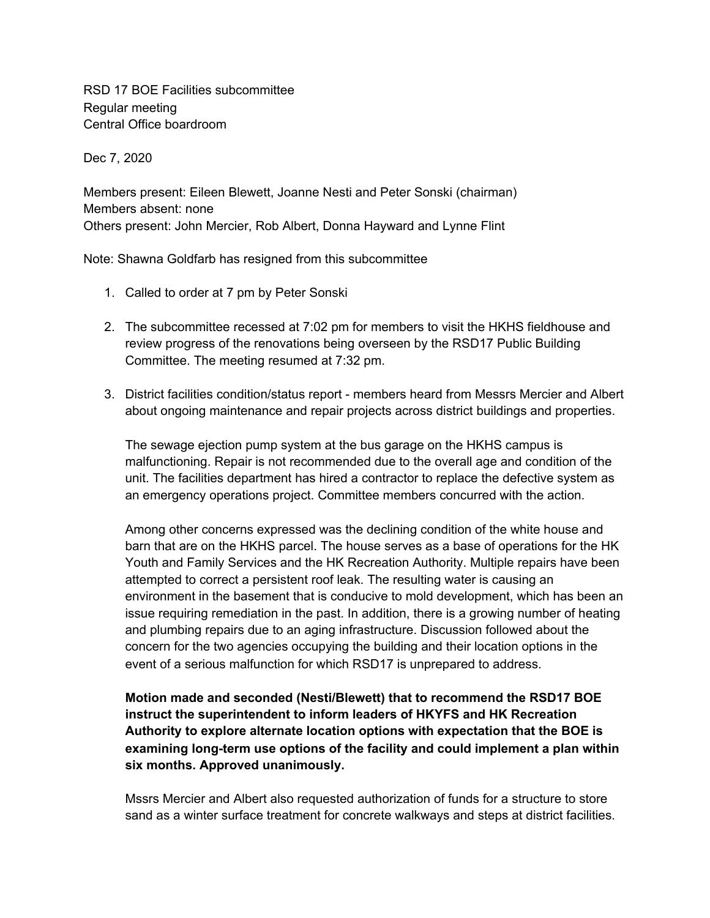RSD 17 BOE Facilities subcommittee Regular meeting Central Office boardroom

Dec 7, 2020

Members present: Eileen Blewett, Joanne Nesti and Peter Sonski (chairman) Members absent: none Others present: John Mercier, Rob Albert, Donna Hayward and Lynne Flint

Note: Shawna Goldfarb has resigned from this subcommittee

- 1. Called to order at 7 pm by Peter Sonski
- 2. The subcommittee recessed at 7:02 pm for members to visit the HKHS fieldhouse and review progress of the renovations being overseen by the RSD17 Public Building Committee. The meeting resumed at 7:32 pm.
- 3. District facilities condition/status report members heard from Messrs Mercier and Albert about ongoing maintenance and repair projects across district buildings and properties.

The sewage ejection pump system at the bus garage on the HKHS campus is malfunctioning. Repair is not recommended due to the overall age and condition of the unit. The facilities department has hired a contractor to replace the defective system as an emergency operations project. Committee members concurred with the action.

Among other concerns expressed was the declining condition of the white house and barn that are on the HKHS parcel. The house serves as a base of operations for the HK Youth and Family Services and the HK Recreation Authority. Multiple repairs have been attempted to correct a persistent roof leak. The resulting water is causing an environment in the basement that is conducive to mold development, which has been an issue requiring remediation in the past. In addition, there is a growing number of heating and plumbing repairs due to an aging infrastructure. Discussion followed about the concern for the two agencies occupying the building and their location options in the event of a serious malfunction for which RSD17 is unprepared to address.

**Motion made and seconded (Nesti/Blewett) that to recommend the RSD17 BOE instruct the superintendent to inform leaders of HKYFS and HK Recreation Authority to explore alternate location options with expectation that the BOE is examining long-term use options of the facility and could implement a plan within six months. Approved unanimously.**

Mssrs Mercier and Albert also requested authorization of funds for a structure to store sand as a winter surface treatment for concrete walkways and steps at district facilities.